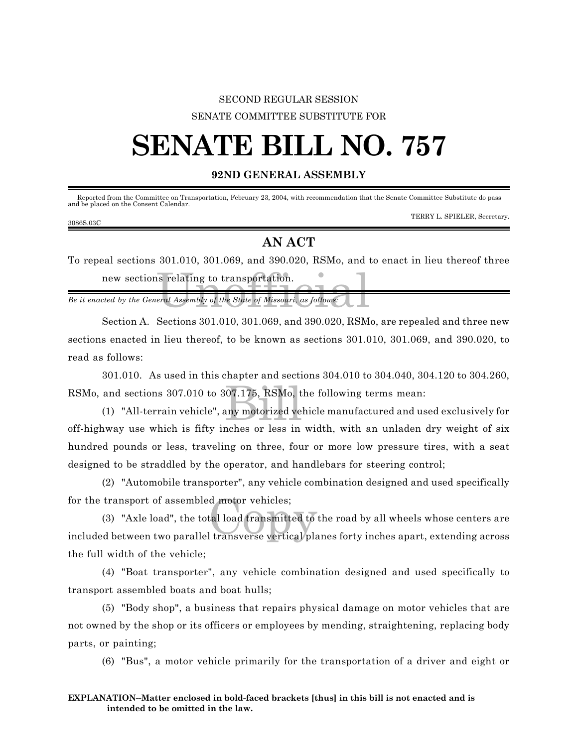## SECOND REGULAR SESSION SENATE COMMITTEE SUBSTITUTE FOR

# **SENATE BILL NO. 757**

#### **92ND GENERAL ASSEMBLY**

| Reported from the Committee on Transportation, February 23, 2004, with recommendation that the Senate Committee Substitute do pass<br>and be placed on the Consent Calendar. |                              |
|------------------------------------------------------------------------------------------------------------------------------------------------------------------------------|------------------------------|
| 3086S.03C                                                                                                                                                                    | TERRY L. SPIELER, Secretary. |

### **AN ACT**

Saint Telating to transportation.<br>
Final Assembly of the State of Missouri, as follows: To repeal sections 301.010, 301.069, and 390.020, RSMo, and to enact in lieu thereof three new sections relating to transportation.

*Be it enacted by the General Assembly of the State of Missouri, as follows:*

Section A. Sections 301.010, 301.069, and 390.020, RSMo, are repealed and three new sections enacted in lieu thereof, to be known as sections 301.010, 301.069, and 390.020, to read as follows:

301.010. As used in this chapter and sections 304.010 to 304.040, 304.120 to 304.260,

RSMo, and sections 307.010 to 307.175, RSMo, the following terms mean:<br>
(1) "All-terrain vehicle", any motorized vehicle manufactured and us<br>
of highway use which is fifty inches on loss in width, with an unledge a (1) "All-terrain vehicle", any motorized vehicle manufactured and used exclusively for off-highway use which is fifty inches or less in width, with an unladen dry weight of six hundred pounds or less, traveling on three, four or more low pressure tires, with a seat designed to be straddled by the operator, and handlebars for steering control;

(2) "Automobile transporter", any vehicle combination designed and used specifically for the transport of assembled motor vehicles;

d motor vehicles;<br>tal load transmitted to<br>l transverse vertical pla (3) "Axle load", the total load transmitted to the road by all wheels whose centers are included between two parallel transverse vertical planes forty inches apart, extending across the full width of the vehicle;

(4) "Boat transporter", any vehicle combination designed and used specifically to transport assembled boats and boat hulls;

(5) "Body shop", a business that repairs physical damage on motor vehicles that are not owned by the shop or its officers or employees by mending, straightening, replacing body parts, or painting;

(6) "Bus", a motor vehicle primarily for the transportation of a driver and eight or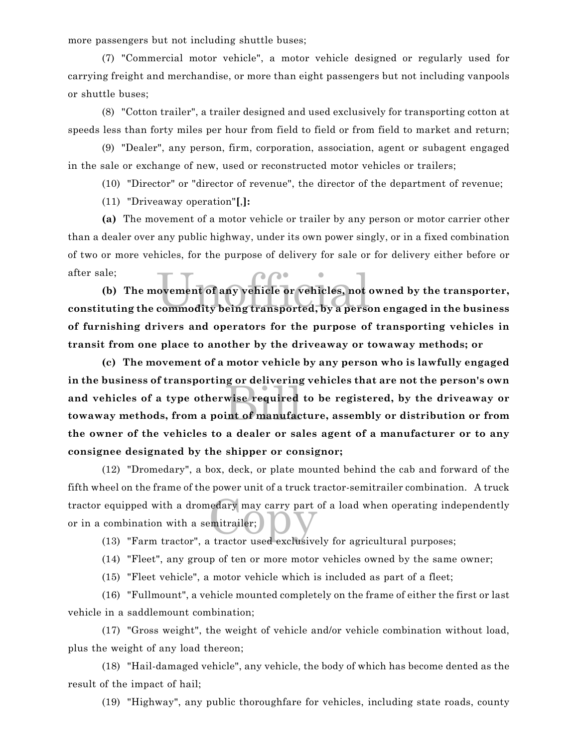more passengers but not including shuttle buses;

(7) "Commercial motor vehicle", a motor vehicle designed or regularly used for carrying freight and merchandise, or more than eight passengers but not including vanpools or shuttle buses;

(8) "Cotton trailer", a trailer designed and used exclusively for transporting cotton at speeds less than forty miles per hour from field to field or from field to market and return;

(9) "Dealer", any person, firm, corporation, association, agent or subagent engaged in the sale or exchange of new, used or reconstructed motor vehicles or trailers;

(10) "Director" or "director of revenue", the director of the department of revenue;

(11) "Driveaway operation"**[**,**]:**

**(a)** The movement of a motor vehicle or trailer by any person or motor carrier other than a dealer over any public highway, under its own power singly, or in a fixed combination of two or more vehicles, for the purpose of delivery for sale or for delivery either before or after sale;

ovement of any vehicle or vehicles, not<br>commodity being transported, by a perso **(b) The movement of any vehicle or vehicles, not owned by the transporter, constituting the commodity being transported, by a person engaged in the business of furnishing drivers and operators for the purpose of transporting vehicles in transit from one place to another by the driveaway or towaway methods; or**

g or achvering<br>wise required<br>int of manufac **(c) The movement of a motor vehicle by any person who is lawfully engaged in the business of transporting or delivering vehicles that are not the person's own and vehicles of a type otherwise required to be registered, by the driveaway or towaway methods, from a point of manufacture, assembly or distribution or from the owner of the vehicles to a dealer or sales agent of a manufacturer or to any consignee designated by the shipper or consignor;**

tractor equipped with a dromedary may carry part of a load when operating independently<br>or in a combination with a semitrailer;<br>(13) "Farm tractor", a tractor used exclusively for agricultural nurneses: (12) "Dromedary", a box, deck, or plate mounted behind the cab and forward of the fifth wheel on the frame of the power unit of a truck tractor-semitrailer combination. A truck or in a combination with a semitrailer;

(13) "Farm tractor", a tractor used exclusively for agricultural purposes;

(14) "Fleet", any group of ten or more motor vehicles owned by the same owner;

(15) "Fleet vehicle", a motor vehicle which is included as part of a fleet;

(16) "Fullmount", a vehicle mounted completely on the frame of either the first or last vehicle in a saddlemount combination;

(17) "Gross weight", the weight of vehicle and/or vehicle combination without load, plus the weight of any load thereon;

(18) "Hail-damaged vehicle", any vehicle, the body of which has become dented as the result of the impact of hail;

(19) "Highway", any public thoroughfare for vehicles, including state roads, county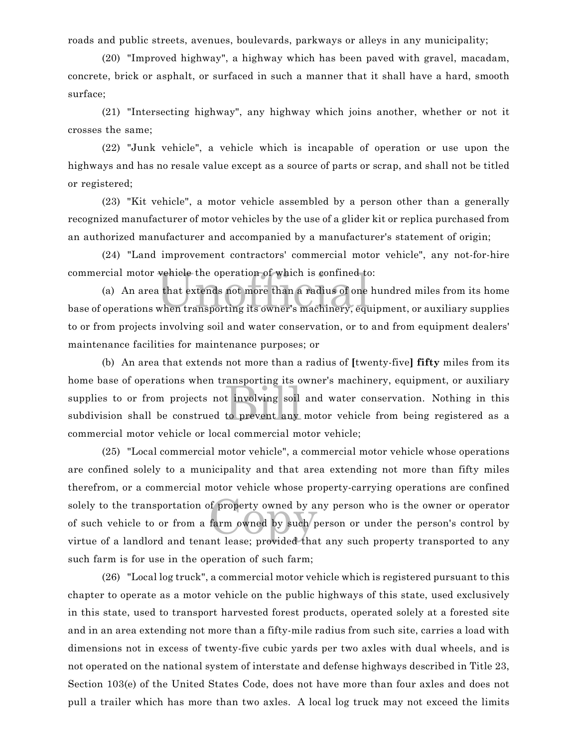roads and public streets, avenues, boulevards, parkways or alleys in any municipality;

(20) "Improved highway", a highway which has been paved with gravel, macadam, concrete, brick or asphalt, or surfaced in such a manner that it shall have a hard, smooth surface;

(21) "Intersecting highway", any highway which joins another, whether or not it crosses the same;

(22) "Junk vehicle", a vehicle which is incapable of operation or use upon the highways and has no resale value except as a source of parts or scrap, and shall not be titled or registered;

(23) "Kit vehicle", a motor vehicle assembled by a person other than a generally recognized manufacturer of motor vehicles by the use of a glider kit or replica purchased from an authorized manufacturer and accompanied by a manufacturer's statement of origin;

(24) "Land improvement contractors' commercial motor vehicle", any not-for-hire commercial motor vehicle the operation of which is confined to:

vehicle the operation of which is confined to<br>a that extends not more than a radius of one<br>when transporting its owner's machinery, equ (a) An area that extends not more than a radius of one hundred miles from its home base of operations when transporting its owner's machinery, equipment, or auxiliary supplies to or from projects involving soil and water conservation, or to and from equipment dealers' maintenance facilities for maintenance purposes; or

t involving soil<br>to prevent any (b) An area that extends not more than a radius of **[**twenty-five**] fifty** miles from its home base of operations when transporting its owner's machinery, equipment, or auxiliary supplies to or from projects not involving soil and water conservation. Nothing in this subdivision shall be construed to prevent any motor vehicle from being registered as a commercial motor vehicle or local commercial motor vehicle;

of property owned by a farm owned by such p (25) "Local commercial motor vehicle", a commercial motor vehicle whose operations are confined solely to a municipality and that area extending not more than fifty miles therefrom, or a commercial motor vehicle whose property-carrying operations are confined solely to the transportation of property owned by any person who is the owner or operator of such vehicle to or from a farm owned by such person or under the person's control by virtue of a landlord and tenant lease; provided that any such property transported to any such farm is for use in the operation of such farm;

(26) "Local log truck", a commercial motor vehicle which is registered pursuant to this chapter to operate as a motor vehicle on the public highways of this state, used exclusively in this state, used to transport harvested forest products, operated solely at a forested site and in an area extending not more than a fifty-mile radius from such site, carries a load with dimensions not in excess of twenty-five cubic yards per two axles with dual wheels, and is not operated on the national system of interstate and defense highways described in Title 23, Section 103(e) of the United States Code, does not have more than four axles and does not pull a trailer which has more than two axles. A local log truck may not exceed the limits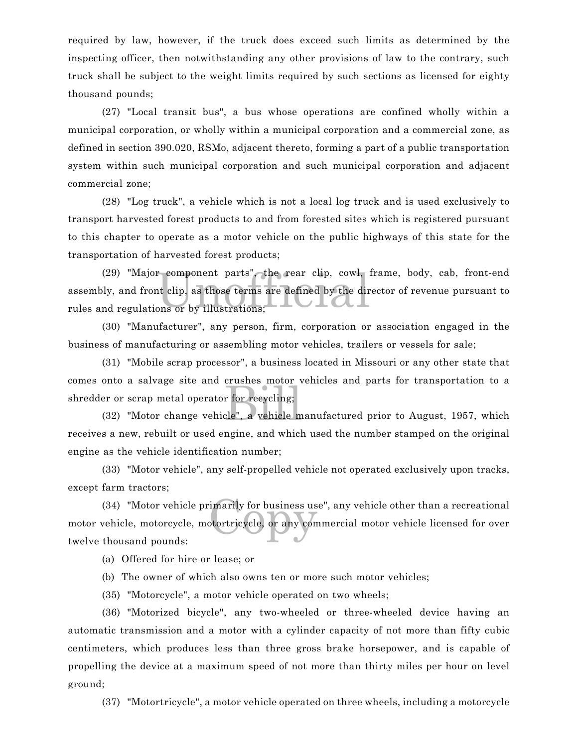required by law, however, if the truck does exceed such limits as determined by the inspecting officer, then notwithstanding any other provisions of law to the contrary, such truck shall be subject to the weight limits required by such sections as licensed for eighty thousand pounds;

(27) "Local transit bus", a bus whose operations are confined wholly within a municipal corporation, or wholly within a municipal corporation and a commercial zone, as defined in section 390.020, RSMo, adjacent thereto, forming a part of a public transportation system within such municipal corporation and such municipal corporation and adjacent commercial zone;

(28) "Log truck", a vehicle which is not a local log truck and is used exclusively to transport harvested forest products to and from forested sites which is registered pursuant to this chapter to operate as a motor vehicle on the public highways of this state for the transportation of harvested forest products;

 $\begin{array}{c} \text{r-component parts}^n, \text{ the rear clip, cowl,} \ \text{nt clip, as those terms are defined by the diron, or by illustrations;} \end{array}$ (29) "Major component parts", the rear clip, cowl, frame, body, cab, front-end assembly, and front clip, as those terms are defined by the director of revenue pursuant to rules and regulations or by illustrations;

(30) "Manufacturer", any person, firm, corporation or association engaged in the business of manufacturing or assembling motor vehicles, trailers or vessels for sale;

r for recycling;<br>cle", a vehicle m (31) "Mobile scrap processor", a business located in Missouri or any other state that comes onto a salvage site and crushes motor vehicles and parts for transportation to a shredder or scrap metal operator for recycling;

(32) "Motor change vehicle", a vehicle manufactured prior to August, 1957, which receives a new, rebuilt or used engine, and which used the number stamped on the original engine as the vehicle identification number;

(33) "Motor vehicle", any self-propelled vehicle not operated exclusively upon tracks, except farm tractors;

imarily for business us<br>otortricycle, or any com (34) "Motor vehicle primarily for business use", any vehicle other than a recreational motor vehicle, motorcycle, motortricycle, or any commercial motor vehicle licensed for over twelve thousand pounds:

(a) Offered for hire or lease; or

(b) The owner of which also owns ten or more such motor vehicles;

(35) "Motorcycle", a motor vehicle operated on two wheels;

(36) "Motorized bicycle", any two-wheeled or three-wheeled device having an automatic transmission and a motor with a cylinder capacity of not more than fifty cubic centimeters, which produces less than three gross brake horsepower, and is capable of propelling the device at a maximum speed of not more than thirty miles per hour on level ground;

(37) "Motortricycle", a motor vehicle operated on three wheels, including a motorcycle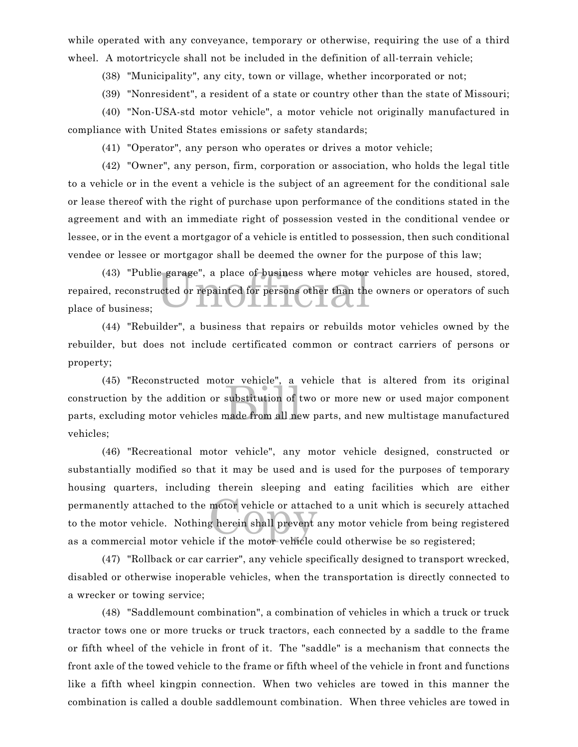while operated with any conveyance, temporary or otherwise, requiring the use of a third wheel. A motortricycle shall not be included in the definition of all-terrain vehicle;

(38) "Municipality", any city, town or village, whether incorporated or not;

(39) "Nonresident", a resident of a state or country other than the state of Missouri;

(40) "Non-USA-std motor vehicle", a motor vehicle not originally manufactured in compliance with United States emissions or safety standards;

(41) "Operator", any person who operates or drives a motor vehicle;

(42) "Owner", any person, firm, corporation or association, who holds the legal title to a vehicle or in the event a vehicle is the subject of an agreement for the conditional sale or lease thereof with the right of purchase upon performance of the conditions stated in the agreement and with an immediate right of possession vested in the conditional vendee or lessee, or in the event a mortgagor of a vehicle is entitled to possession, then such conditional vendee or lessee or mortgagor shall be deemed the owner for the purpose of this law;

e garage", a place of business where motor<br>acted or repainted for persons other than the (43) "Public garage", a place of business where motor vehicles are housed, stored, repaired, reconstructed or repainted for persons other than the owners or operators of such place of business;

(44) "Rebuilder", a business that repairs or rebuilds motor vehicles owned by the rebuilder, but does not include certificated common or contract carriers of persons or property;

substitution of the substitution of the made from all ne (45) "Reconstructed motor vehicle", a vehicle that is altered from its original construction by the addition or substitution of two or more new or used major component parts, excluding motor vehicles made from all new parts, and new multistage manufactured vehicles;

motor vehicle or attack<br>g herein shall prevent (46) "Recreational motor vehicle", any motor vehicle designed, constructed or substantially modified so that it may be used and is used for the purposes of temporary housing quarters, including therein sleeping and eating facilities which are either permanently attached to the motor vehicle or attached to a unit which is securely attached to the motor vehicle. Nothing herein shall prevent any motor vehicle from being registered as a commercial motor vehicle if the motor vehicle could otherwise be so registered;

(47) "Rollback or car carrier", any vehicle specifically designed to transport wrecked, disabled or otherwise inoperable vehicles, when the transportation is directly connected to a wrecker or towing service;

(48) "Saddlemount combination", a combination of vehicles in which a truck or truck tractor tows one or more trucks or truck tractors, each connected by a saddle to the frame or fifth wheel of the vehicle in front of it. The "saddle" is a mechanism that connects the front axle of the towed vehicle to the frame or fifth wheel of the vehicle in front and functions like a fifth wheel kingpin connection. When two vehicles are towed in this manner the combination is called a double saddlemount combination. When three vehicles are towed in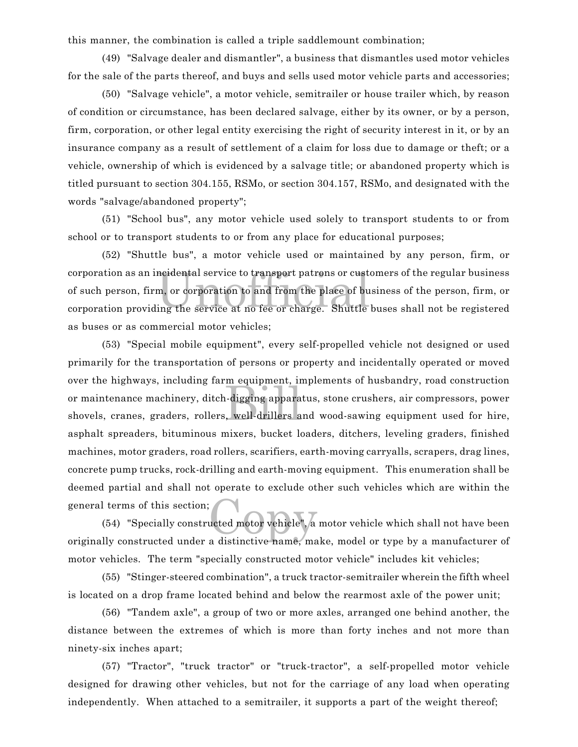this manner, the combination is called a triple saddlemount combination;

(49) "Salvage dealer and dismantler", a business that dismantles used motor vehicles for the sale of the parts thereof, and buys and sells used motor vehicle parts and accessories;

(50) "Salvage vehicle", a motor vehicle, semitrailer or house trailer which, by reason of condition or circumstance, has been declared salvage, either by its owner, or by a person, firm, corporation, or other legal entity exercising the right of security interest in it, or by an insurance company as a result of settlement of a claim for loss due to damage or theft; or a vehicle, ownership of which is evidenced by a salvage title; or abandoned property which is titled pursuant to section 304.155, RSMo, or section 304.157, RSMo, and designated with the words "salvage/abandoned property";

(51) "School bus", any motor vehicle used solely to transport students to or from school or to transport students to or from any place for educational purposes;

ncidental service to transport patrons or cust<br>m, or corporation to and from the place of bu<br>ing the service at no fee or charge. Shuttle (52) "Shuttle bus", a motor vehicle used or maintained by any person, firm, or corporation as an incidental service to transport patrons or customers of the regular business of such person, firm, or corporation to and from the place of business of the person, firm, or corporation providing the service at no fee or charge. Shuttle buses shall not be registered as buses or as commercial motor vehicles;

m equipment, in<br>a-digging appara<br>billers a (53) "Special mobile equipment", every self-propelled vehicle not designed or used primarily for the transportation of persons or property and incidentally operated or moved over the highways, including farm equipment, implements of husbandry, road construction or maintenance machinery, ditch-digging apparatus, stone crushers, air compressors, power shovels, cranes, graders, rollers, well-drillers and wood-sawing equipment used for hire, asphalt spreaders, bituminous mixers, bucket loaders, ditchers, leveling graders, finished machines, motor graders, road rollers, scarifiers, earth-moving carryalls, scrapers, drag lines, concrete pump trucks, rock-drilling and earth-moving equipment. This enumeration shall be deemed partial and shall not operate to exclude other such vehicles which are within the general terms of this section;

ucted motor vehicle", a (54) "Specially constructed motor vehicle", a motor vehicle which shall not have been originally constructed under a distinctive name, make, model or type by a manufacturer of motor vehicles. The term "specially constructed motor vehicle" includes kit vehicles;

(55) "Stinger-steered combination", a truck tractor-semitrailer wherein the fifth wheel is located on a drop frame located behind and below the rearmost axle of the power unit;

(56) "Tandem axle", a group of two or more axles, arranged one behind another, the distance between the extremes of which is more than forty inches and not more than ninety-six inches apart;

(57) "Tractor", "truck tractor" or "truck-tractor", a self-propelled motor vehicle designed for drawing other vehicles, but not for the carriage of any load when operating independently. When attached to a semitrailer, it supports a part of the weight thereof;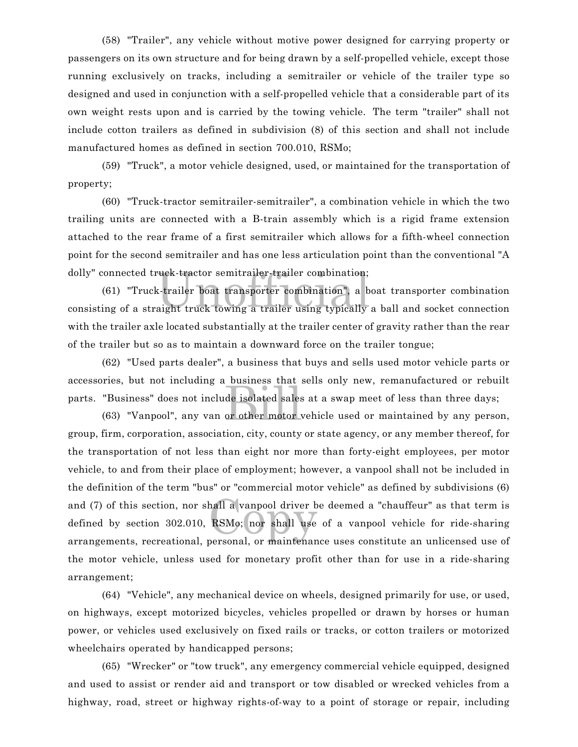(58) "Trailer", any vehicle without motive power designed for carrying property or passengers on its own structure and for being drawn by a self-propelled vehicle, except those running exclusively on tracks, including a semitrailer or vehicle of the trailer type so designed and used in conjunction with a self-propelled vehicle that a considerable part of its own weight rests upon and is carried by the towing vehicle. The term "trailer" shall not include cotton trailers as defined in subdivision (8) of this section and shall not include manufactured homes as defined in section 700.010, RSMo;

(59) "Truck", a motor vehicle designed, used, or maintained for the transportation of property;

(60) "Truck-tractor semitrailer-semitrailer", a combination vehicle in which the two trailing units are connected with a B-train assembly which is a rigid frame extension attached to the rear frame of a first semitrailer which allows for a fifth-wheel connection point for the second semitrailer and has one less articulation point than the conventional "A dolly" connected truck-tractor semitrailer-trailer combination;

ruck-tractor semitrailer-trailer combination;<br>x-trailer boat transporter combination", a b<br>aight truck towing a trailer using typically (61) "Truck-trailer boat transporter combination", a boat transporter combination consisting of a straight truck towing a trailer using typically a ball and socket connection with the trailer axle located substantially at the trailer center of gravity rather than the rear of the trailer but so as to maintain a downward force on the trailer tongue;

de isolated sales<br>or other motor (62) "Used parts dealer", a business that buys and sells used motor vehicle parts or accessories, but not including a business that sells only new, remanufactured or rebuilt parts. "Business" does not include isolated sales at a swap meet of less than three days;

mail a vanpool driver b<br>RSMo; nor shall use (63) "Vanpool", any van or other motor vehicle used or maintained by any person, group, firm, corporation, association, city, county or state agency, or any member thereof, for the transportation of not less than eight nor more than forty-eight employees, per motor vehicle, to and from their place of employment; however, a vanpool shall not be included in the definition of the term "bus" or "commercial motor vehicle" as defined by subdivisions (6) and (7) of this section, nor shall a vanpool driver be deemed a "chauffeur" as that term is defined by section 302.010, RSMo; nor shall use of a vanpool vehicle for ride-sharing arrangements, recreational, personal, or maintenance uses constitute an unlicensed use of the motor vehicle, unless used for monetary profit other than for use in a ride-sharing arrangement;

(64) "Vehicle", any mechanical device on wheels, designed primarily for use, or used, on highways, except motorized bicycles, vehicles propelled or drawn by horses or human power, or vehicles used exclusively on fixed rails or tracks, or cotton trailers or motorized wheelchairs operated by handicapped persons;

(65) "Wrecker" or "tow truck", any emergency commercial vehicle equipped, designed and used to assist or render aid and transport or tow disabled or wrecked vehicles from a highway, road, street or highway rights-of-way to a point of storage or repair, including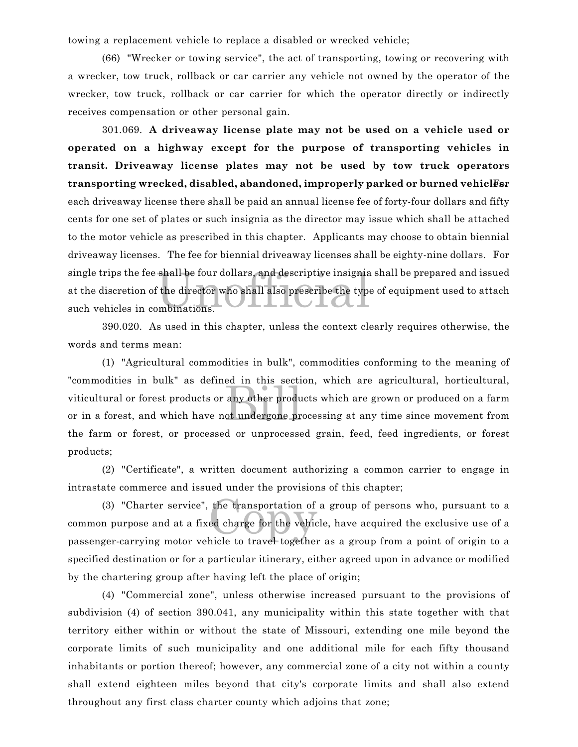towing a replacement vehicle to replace a disabled or wrecked vehicle;

(66) "Wrecker or towing service", the act of transporting, towing or recovering with a wrecker, tow truck, rollback or car carrier any vehicle not owned by the operator of the wrecker, tow truck, rollback or car carrier for which the operator directly or indirectly receives compensation or other personal gain.

shall be four dollars, and descriptive insignia<br>
the director who shall also prescribe the type:<br>
unbinations. 301.069. **A driveaway license plate may not be used on a vehicle used or operated on a highway except for the purpose of transporting vehicles in transit. Driveaway license plates may not be used by tow truck operators transporting wrecked, disabled, abandoned, improperly parked or burned vehiclesr** each driveaway license there shall be paid an annual license fee of forty-four dollars and fifty cents for one set of plates or such insignia as the director may issue which shall be attached to the motor vehicle as prescribed in this chapter. Applicants may choose to obtain biennial driveaway licenses. The fee for biennial driveaway licenses shall be eighty-nine dollars. For single trips the fee shall be four dollars, and descriptive insignia shall be prepared and issued at the discretion of the director who shall also prescribe the type of equipment used to attach such vehicles in combinations.

390.020. As used in this chapter, unless the context clearly requires otherwise, the words and terms mean:

any other produ<br>any other produ<br>ot undergone pr (1) "Agricultural commodities in bulk", commodities conforming to the meaning of "commodities in bulk" as defined in this section, which are agricultural, horticultural, viticultural or forest products or any other products which are grown or produced on a farm or in a forest, and which have not undergone processing at any time since movement from the farm or forest, or processed or unprocessed grain, feed, feed ingredients, or forest products;

(2) "Certificate", a written document authorizing a common carrier to engage in intrastate commerce and issued under the provisions of this chapter;

the transportation of<br>ed charge for the vehic<br>hicle to travel together (3) "Charter service", the transportation of a group of persons who, pursuant to a common purpose and at a fixed charge for the vehicle, have acquired the exclusive use of a passenger-carrying motor vehicle to travel together as a group from a point of origin to a specified destination or for a particular itinerary, either agreed upon in advance or modified by the chartering group after having left the place of origin;

(4) "Commercial zone", unless otherwise increased pursuant to the provisions of subdivision (4) of section 390.041, any municipality within this state together with that territory either within or without the state of Missouri, extending one mile beyond the corporate limits of such municipality and one additional mile for each fifty thousand inhabitants or portion thereof; however, any commercial zone of a city not within a county shall extend eighteen miles beyond that city's corporate limits and shall also extend throughout any first class charter county which adjoins that zone;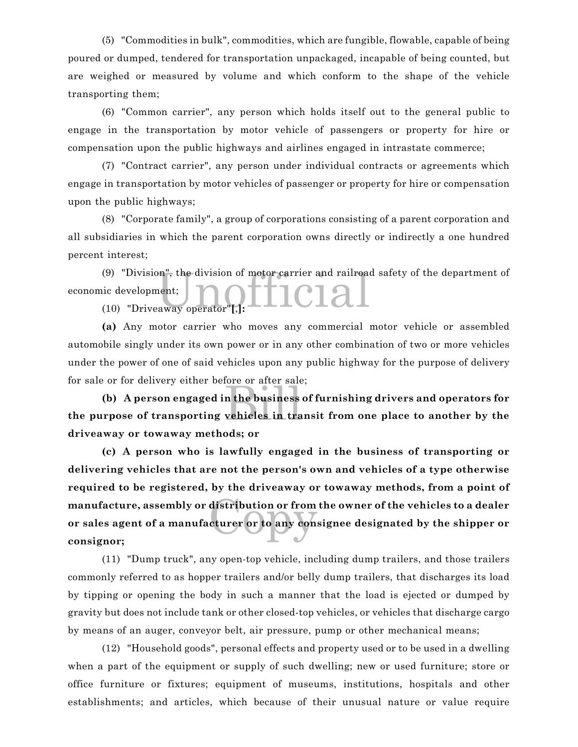(5) "Commodities in bulk", commodities, which are fungible, flowable, capable of being poured or dumped, tendered for transportation unpackaged, incapable of being counted, but are weighed or measured by volume and which conform to the shape of the vehicle transporting them;

(6) "Common carrier", any person which holds itself out to the general public to engage in the transportation by motor vehicle of passengers or property for hire or compensation upon the public highways and airlines engaged in intrastate commerce;

(7) "Contract carrier", any person under individual contracts or agreements which engage in transportation by motor vehicles of passenger or property for hire or compensation upon the public highways;

(8) "Corporate family", a group of corporations consisting of a parent corporation and all subsidiaries in which the parent corporation owns directly or indirectly a one hundred percent interest;

(9) "Division", the division of motor carrier and railroad safety of the department of<br>
ic development;<br>
(10) "Driveaway operator"[,]: economic development;

(10) "Driveaway operator"**[**,**]:**

**(a)** Any motor carrier who moves any commercial motor vehicle or assembled automobile singly under its own power or in any other combination of two or more vehicles under the power of one of said vehicles upon any public highway for the purpose of delivery for sale or for delivery either before or after sale;

note of after safe<br>n the business<br>vehicles in tra **(b) A person engaged in the business of furnishing drivers and operators for the purpose of transporting vehicles in transit from one place to another by the driveaway or towaway methods; or**

distribution or from<br>cturer or to any cons **(c) A person who is lawfully engaged in the business of transporting or delivering vehicles that are not the person's own and vehicles of a type otherwise required to be registered, by the driveaway or towaway methods, from a point of manufacture, assembly or distribution or from the owner of the vehicles to a dealer or sales agent of a manufacturer or to any consignee designated by the shipper or consignor;**

(11) "Dump truck", any open-top vehicle, including dump trailers, and those trailers commonly referred to as hopper trailers and/or belly dump trailers, that discharges its load by tipping or opening the body in such a manner that the load is ejected or dumped by gravity but does not include tank or other closed-top vehicles, or vehicles that discharge cargo by means of an auger, conveyor belt, air pressure, pump or other mechanical means;

(12) "Household goods", personal effects and property used or to be used in a dwelling when a part of the equipment or supply of such dwelling; new or used furniture; store or office furniture or fixtures; equipment of museums, institutions, hospitals and other establishments; and articles, which because of their unusual nature or value require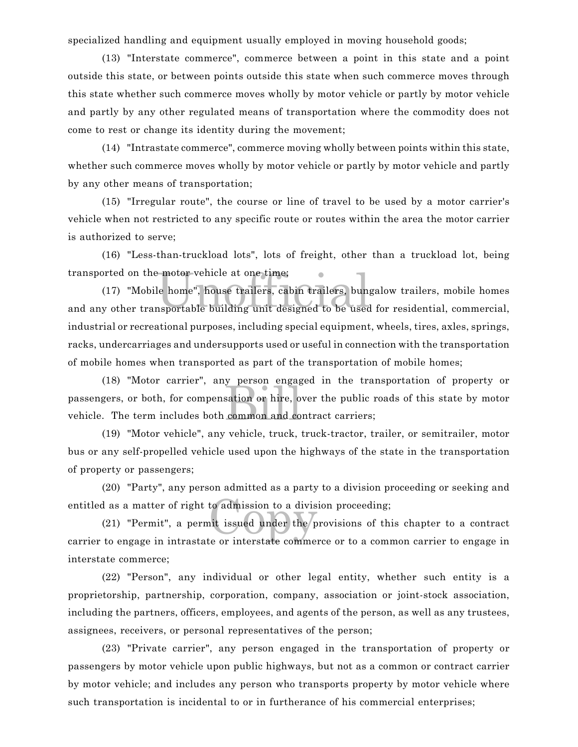specialized handling and equipment usually employed in moving household goods;

(13) "Interstate commerce", commerce between a point in this state and a point outside this state, or between points outside this state when such commerce moves through this state whether such commerce moves wholly by motor vehicle or partly by motor vehicle and partly by any other regulated means of transportation where the commodity does not come to rest or change its identity during the movement;

(14) "Intrastate commerce", commerce moving wholly between points within this state, whether such commerce moves wholly by motor vehicle or partly by motor vehicle and partly by any other means of transportation;

(15) "Irregular route", the course or line of travel to be used by a motor carrier's vehicle when not restricted to any specific route or routes within the area the motor carrier is authorized to serve;

(16) "Less-than-truckload lots", lots of freight, other than a truckload lot, being transported on the motor vehicle at one time;

transported on the motor vehicle at one time;<br>
(17) "Mobile home", house trailers, cabin trailers, bungalow trailers, mobile homes<br>
and any other transportable building unit designed to be used for residential, commercial, (17) "Mobile home", house trailers, cabin trailers, bungalow trailers, mobile homes industrial or recreational purposes, including special equipment, wheels, tires, axles, springs, racks, undercarriages and undersupports used or useful in connection with the transportation of mobile homes when transported as part of the transportation of mobile homes;

sation or hire, or<br>sation or hire, or<br>common and co (18) "Motor carrier", any person engaged in the transportation of property or passengers, or both, for compensation or hire, over the public roads of this state by motor vehicle. The term includes both common and contract carriers;

(19) "Motor vehicle", any vehicle, truck, truck-tractor, trailer, or semitrailer, motor bus or any self-propelled vehicle used upon the highways of the state in the transportation of property or passengers;

(20) "Party", any person admitted as a party to a division proceeding or seeking and entitled as a matter of right to admission to a division proceeding;

to admission to a divis<br>hit issued under the p (21) "Permit", a permit issued under the provisions of this chapter to a contract carrier to engage in intrastate or interstate commerce or to a common carrier to engage in interstate commerce;

(22) "Person", any individual or other legal entity, whether such entity is a proprietorship, partnership, corporation, company, association or joint-stock association, including the partners, officers, employees, and agents of the person, as well as any trustees, assignees, receivers, or personal representatives of the person;

(23) "Private carrier", any person engaged in the transportation of property or passengers by motor vehicle upon public highways, but not as a common or contract carrier by motor vehicle; and includes any person who transports property by motor vehicle where such transportation is incidental to or in furtherance of his commercial enterprises;